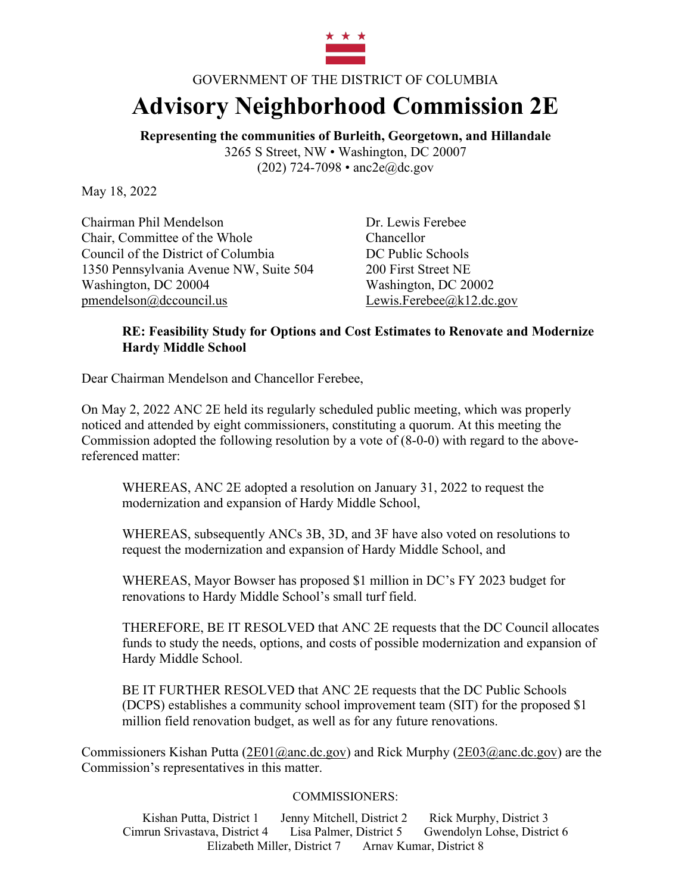

## GOVERNMENT OF THE DISTRICT OF COLUMBIA **Advisory Neighborhood Commission 2E**

**Representing the communities of Burleith, Georgetown, and Hillandale** 3265 S Street, NW • Washington, DC 20007 (202) 724-7098 • anc2e@dc.gov

May 18, 2022

Chairman Phil Mendelson Dr. Lewis Ferebee Chair, Committee of the Whole Chancellor Council of the District of Columbia DC Public Schools 1350 Pennsylvania Avenue NW, Suite 504 200 First Street NE Washington, DC 20004 Washington, DC 20002 pmendelson@dccouncil.us Lewis.Ferebee@k12.dc.gov

## **RE: Feasibility Study for Options and Cost Estimates to Renovate and Modernize Hardy Middle School**

Dear Chairman Mendelson and Chancellor Ferebee,

On May 2, 2022 ANC 2E held its regularly scheduled public meeting, which was properly noticed and attended by eight commissioners, constituting a quorum. At this meeting the Commission adopted the following resolution by a vote of (8-0-0) with regard to the abovereferenced matter:

WHEREAS, ANC 2E adopted a resolution on January 31, 2022 to request the modernization and expansion of Hardy Middle School,

WHEREAS, subsequently ANCs 3B, 3D, and 3F have also voted on resolutions to request the modernization and expansion of Hardy Middle School, and

WHEREAS, Mayor Bowser has proposed \$1 million in DC's FY 2023 budget for renovations to Hardy Middle School's small turf field.

THEREFORE, BE IT RESOLVED that ANC 2E requests that the DC Council allocates funds to study the needs, options, and costs of possible modernization and expansion of Hardy Middle School.

BE IT FURTHER RESOLVED that ANC 2E requests that the DC Public Schools (DCPS) establishes a community school improvement team (SIT) for the proposed \$1 million field renovation budget, as well as for any future renovations.

Commissioners Kishan Putta (2E01@anc.dc.gov) and Rick Murphy (2E03@anc.dc.gov) are the Commission's representatives in this matter.

## COMMISSIONERS:

Kishan Putta, District 1 Jenny Mitchell, District 2 Rick Murphy, District 3 Cimrun Srivastava, District 4 Lisa Palmer, District 5 Gwendolyn Lohse, District 6 Elizabeth Miller, District 7 Arnav Kumar, District 8